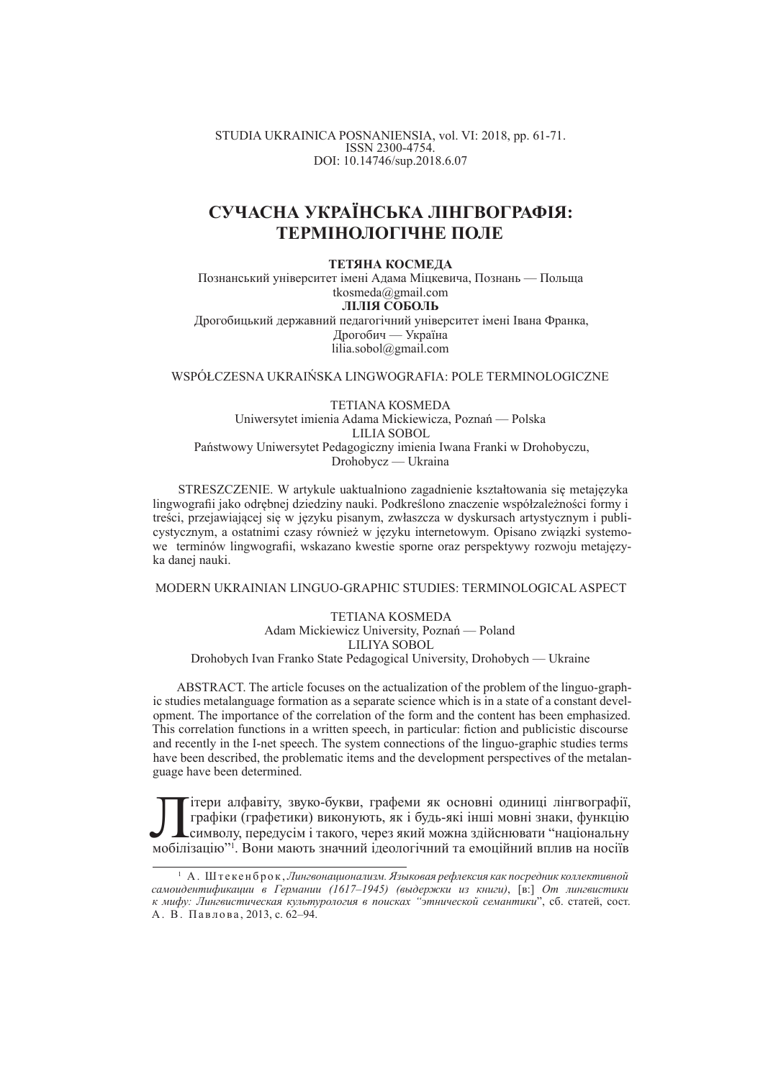STUDIA UKRAINICA POSNANIENSIA, vol. VI: 2018, pp. 61-71. ISSN 2300-4754. DOI: 10.14746/sup.2018.6.07

# **ɋɍɑȺɋɇȺ ɍɄɊȺȲɇɋɖɄȺ ɅȱɇȽȼɈȽɊȺɎȱə:** ТЕРМІНОЛОГІЧНЕ ПОЛЕ

#### **ТЕТЯНА КОСМЕЛА**

Познанський університет імені Адама Міцкевича, Познань — Польща tkosmeda@gmail.com **ЛІЛІЯ СОБОЛЬ** Дрогобицький державний педагогічний університет імені Івана Франка, Дрогобич — Україна lilia.sobol@gmail.com

WSPÓŁCZESNA UKRAIŃSKA LINGWOGRAFIA: POLE TERMINOLOGICZNE

TETIANA KOSMEDA Uniwersytet imienia Adama Mickiewicza, Poznań — Polska LILIA SOBOL Państwowy Uniwersytet Pedagogiczny imienia Iwana Franki w Drohobyczu, Drohobycz — Ukraina

STRESZCZENIE. W artykule uaktualniono zagadnienie kształtowania się metajęzyka lingwografii jako odrębnej dziedziny nauki. Podkreślono znaczenie współzależności formy i treści, przejawiającej się w języku pisanym, zwłaszcza w dyskursach artystycznym i publicystycznym, a ostatnimi czasy również w jezyku internetowym. Opisano związki systemowe terminów lingwografii, wskazano kwestie sporne oraz perspektywy rozwoju metajęzyka danej nauki.

MODERN UKRAINIAN LINGUO-GRAPHIC STUDIES: TERMINOLOGICAL ASPECT

TETIANA KOSMEDA Adam Mickiewicz University, Poznań — Poland LILIYA SOBOL Drohobych Ivan Franko State Pedagogical University, Drohobych — Ukraine

ABSTRACT. The article focuses on the actualization of the problem of the linguo-graphic studies metalanguage formation as a separate science which is in a state of a constant development. The importance of the correlation of the form and the content has been emphasized. This correlation functions in a written speech, in particular: fiction and publicistic discourse and recently in the I-net speech. The system connections of the linguo-graphic studies terms have been described, the problematic items and the development perspectives of the metalanguage have been determined.

Пітери алфавіту, звуко-букви, графеми як основні одиниці лінгвографії<br>графіки (графетики) виконують, як і будь-які інші мовні знаки, функцію<br>мобілізацію<sup>71</sup>. Вони мають значний ідеологічний та емоційний вплив на носіїв ітери алфавіту, звуко-букви, графеми як основні одиниці лінгвографії, графіки (графетики) виконують, як і будь-які інші мовні знаки, функцію символу, передусім і такого, через який можна здійснювати "національну

 $^{\rm 1}$  А . Штекенброк, Лингвонационализм. Языковая рефлексия как посредник коллективной *cамоидентификации в Германии (1617–1945) (выдержки из книги)*, [в.] *От лингвистики к* мифу: Лингвистическая культурология в поисках "этнической семантики", сб. статей, сост. А. В. Павлова, 2013, с. 62-94.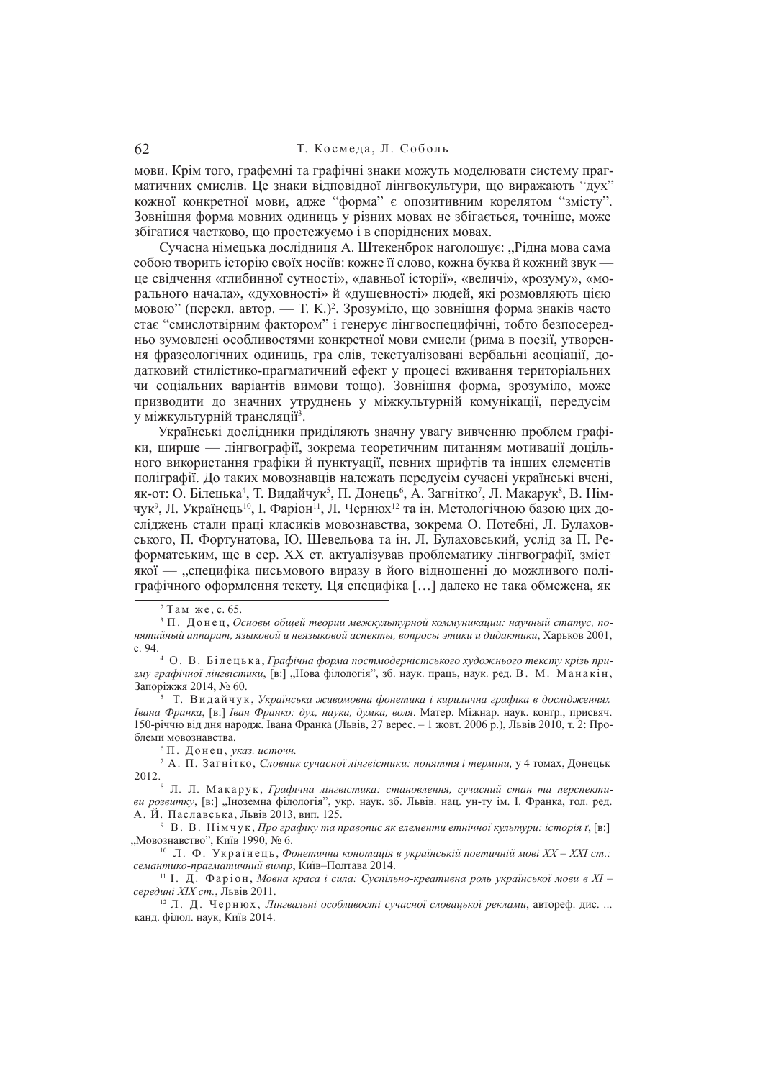### 62 Т. Космела, Л. Соболь

мови. Крім того, графемні та графічні знаки можуть моделювати систему прагматичних смислів. Це знаки відповідної лінгвокультури, що виражають "дух" кожної конкретної мови, адже "форма" є опозитивним корелятом "змісту". Зовнішня форма мовних одиниць у різних мовах не збігається, точніше, може збігатися частково, що простежуємо і в споріднених мовах.

Сучасна німецька дослідниця А. Штекенброк наголошує: "Рідна мова сама собою творить історію своїх носіїв: кожне її слово, кожна буква й кожний звук це свідчення «глибинної сутності», «давньої історії», «величі», «розуму», «морального начала», «духовності» й «душевності» людей, які розмовляють цією мовою" (перекл. автор. — Т. К.)<sup>2</sup>. Зрозуміло, що зовнішня форма знаків часто стає "смислотвірним фактором" і генерує лінгвоспецифічні, тобто безпосередньо зумовлені особливостями конкретної мови смисли (рима в поезії, утворення фразеологічних одиниць, гра слів, текстуалізовані вербальні асоціації, додатковий стилістико-прагматичний ефект у процесі вживання територіальних чи соціальних варіантів вимови тощо). Зовнішня форма, зрозуміло, може призводити до значних утруднень у міжкультурній комунікації, передусім у міжкультурній трансляції<sup>з</sup>.

Українські лослілники приліляють значну увагу вивченню проблем графіки, ширше — лінгвографії, зокрема теоретичним питанням мотивації доцільного використання графіки й пунктуації, певних шрифтів та інших елементів поліграфії. Ло таких мовознавців належать перелусім сучасні українські вчені. як-от: О. Білецька<sup>4</sup>, Т. Видайчук<sup>5</sup>, П. Донець<sup>6</sup>, А. Загнітко<sup>7</sup>, Л. Макарук<sup>8</sup>, В. Німчук<sup>9</sup>, Л. Українець<sup>10</sup>, І. Фаріон<sup>11</sup>, Л. Чернюх<sup>12</sup> та ін. Метологічною базою цих досліджень стали праці класиків мовознавства, зокрема О. Потебні, Л. Булаховського, П. Фортунатова, Ю. Шевельова та ін. Л. Булаховський, услід за П. Реформатським, ще в сер. XX ст. актуалізував проблематику лінгвографії, зміст якої — "специфіка письмового виразу в його відношенні до можливого поліграфічного оформлення тексту. Ця специфіка […] далеко не така обмежена, як

 $2$  Там же, с. 65.

<sup>&</sup>lt;sup>3</sup> П. Донец, Основы общей теории межкультурной коммуникации: научный статус, по*ɧɹɬɢɣɧɵɣ ɚɩɩɚɪɚɬ, ɹɡɵɤɨɜɨɣ ɢ ɧɟɹɡɵɤɨɜɨɣ ɚɫɩɟɤɬɵ, ɜɨɩɪɨɫɵ ɷɬɢɤɢ ɢ ɞɢɞɚɤɬɢɤɢ*, ɏɚɪɶɤɨɜ 2001, ɫ. 94.

<sup>&</sup>lt;sup>4</sup> О. В. Білецька, Графічна форма постмодерністського художнього тексту крізь при*зму графічної лінгвістики*, [в:] "Нова філологія", 3б. наук. праць, наук. ред. В. М. Манакін, Запоріжжя 2014, № 60.

<sup>&</sup>lt;sup>5</sup> Т. Видайчук, Українська живомовна фонетика і кирилична графіка в дослідженнях *Iвана Франка*, [в:] *Іван Франко: дух, наука, думка, воля*. Матер. Міжнар. наук. конґр., присвяч. 150-річчю від дня народж. Івана Франка (Львів, 27 верес. – 1 жовт. 2006 р.), Львів 2010, т. 2: Проблеми мовознавства.

 $6$  П. Донец, указ. источн.

<sup>&</sup>lt;sup>7</sup> А. П. Загнітко, Словник сучасної лінгвістики: поняття і терміни, у 4 томах, Донецьк 2012.

<sup>&</sup>lt;sup>8</sup> Л. Л. Макарук, Графічна лінгвістика: становлення, сучасний стан та перспекти*ви розвитку*, [в:] "Іноземна філологія", укр. наук. зб. Львів. нац. ун-ту ім. І. Франка, гол. ред. А. Й. Паславська, Львів 2013, вип. 125.

<sup>9</sup> В. В. Німчук, *Про графіку та правопис як елементи етнічної культури: історія t*, [в:] "Мовознавство", Київ 1990, № 6.

<sup>&</sup>lt;sup>10</sup> Л. Ф. Українець, Фонетична конотація в українській поетичній мові XX – XXI ст.: семантико-прагматичний вимір, Київ-Полтава 2014.

<sup>&</sup>lt;sup>11</sup> І. Д. Фаріон, Мовна краса і сила: Суспільно-креативна роль української мови в XI – *cередині XIX ст.*, Львів 2011.

<sup>&</sup>lt;sup>12</sup> Л. Д. Чернюх, Лінгвальні особливості сучасної словацької реклами, автореф. дис. ... канд. філол. наук, Київ 2014.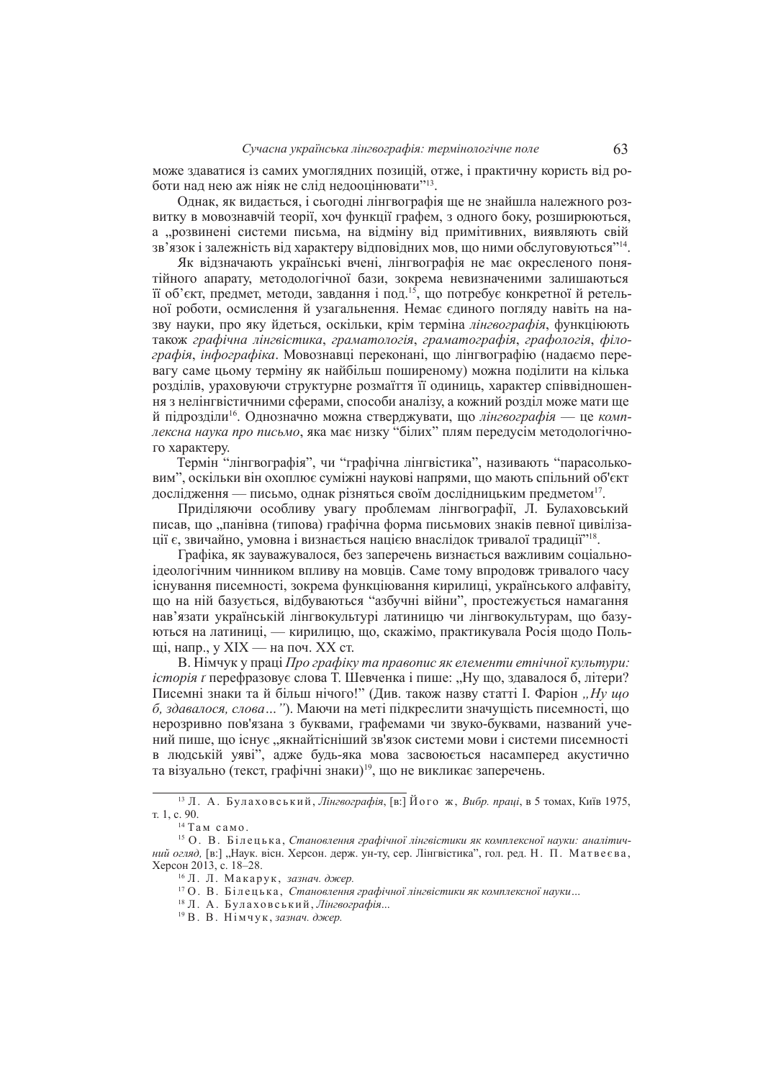може здаватися із самих умоглядних позицій, отже, і практичну користь від роботи над нею аж ніяк не слід недооцінювати"<sup>13</sup>.

Однак, як видається, і сьогодні лінгвографія ще не знайшла належного розвитку в мовознавчій теорії, хоч функції графем, з одного боку, розширюються, а "розвинені системи письма, на відміну від примітивних, виявляють свій зв'язок і залежність від характеру відповідних мов, що ними обслуговуються"14.

Як відзначають українські вчені, лінгвографія не має окресленого понятійного апарату, методологічної бази, зокрема невизначеними залишаються її об'єкт, предмет, методи, завдання і под.<sup>15</sup>, що потребує конкретної й ретельної роботи, осмислення й узагальнення. Немає єлиного поглялу навіть на назву науки, про яку йдеться, оскільки, крім терміна лінгвографія, функціюють також графічна лінгвістика, граматологія, граматографія, графологія, філо*графія, інфографіка*. Мовознавці переконані, що лінгвографію (надаємо перевагу саме шьому терміну як найбільш поширеному) можна полілити на кілька розділів, ураховуючи структурне розмаїття її одиниць, характер співвідношення з нелінгвістичними сферами, способи аналізу, а кожний розліл може мати ше й підрозділи<sup>16</sup>. Однозначно можна стверджувати, що лінгвографія — це комплексна наука про письмо, яка має низку "білих" плям передусім методологічного характеру.

Термін "лінгвографія", чи "графічна лінгвістика", називають "парасольковим", оскільки він охоплює суміжні наукові напрями, що мають спільний об'єкт дослідження — письмо, однак різняться своїм дослідницьким предметом<sup>17</sup>.

Приділяючи особливу увагу проблемам лінгвографії, Л. Булаховський писав, що "панівна (типова) графічна форма письмових знаків певної цивілізації є, звичайно, умовна і визнається нацією внаслідок тривалої традиції"<sup>18</sup>.

Графіка, як зауважувалося, без заперечень визнається важливим соціальноідеологічним чинником впливу на мовців. Саме тому впродовж тривалого часу існування писемності, зокрема функціювання кирилиці, українського алфавіту, що на ній базується, вілбуваються "азбучні війни", простежується намагання нав'язати українській лінгвокультурі латиницю чи лінгвокультурам, що базуються на латиниці, — кирилицю, що, скажімо, практикувала Росія щодо Польші, напр., у XIX — на поч. XX ст.

В. Німчук у праці Про графіку та правопис як елементи етнічної культури: *icmopiя т* перефразовує слова Т. Шевченка *і* пише: "Ну що, здавалося б, літери? Писемні знаки та й більш нічого!" (Див. також назву статті І. Фаріон "*Ну що*  $6.$  здавалося, слова..."). Маючи на меті пілкреслити значушість писемності, шо нерозривно пов'язана з буквами, графемами чи звуко-буквами, названий учений пише, шо існує "якнайтісніший зв'язок системи мови і системи писемності в людській уяві", адже будь-яка мова засвоюється насамперед акустично та візуально (текст, графічні знаки)<sup>19</sup>, що не викликає заперечень.

<sup>&</sup>lt;sup>13</sup> Л. А. Булаховський, Лінгвографія, [в:] Його ж, Вибр. праці, в 5 томах, Київ 1975, т. 1, с. 90.

 $14$  Там само.

<sup>&</sup>lt;sup>15</sup> О. В. Білецька, Становлення графічної лінгвістики як комплексної науки: аналітич*ний огляд*, [в:] "Наук. вісн. Херсон. держ. ун-ту, сер. Лінгвістика", гол. ред. Н. П. Матвеєва, Херсон 2013, с. 18–28.

<sup>&</sup>lt;sup>16</sup> Л. Л. Макарук, зазнач. джер.

<sup>&</sup>lt;sup>17</sup> О. В. Білецька, Становлення графічної лінгвістики як комплексної науки...

<sup>&</sup>lt;sup>18</sup> Л. А. Булаховський, Лінгвографія...

<sup>&</sup>lt;sup>19</sup> В. В. Німчук, зазнач. джер.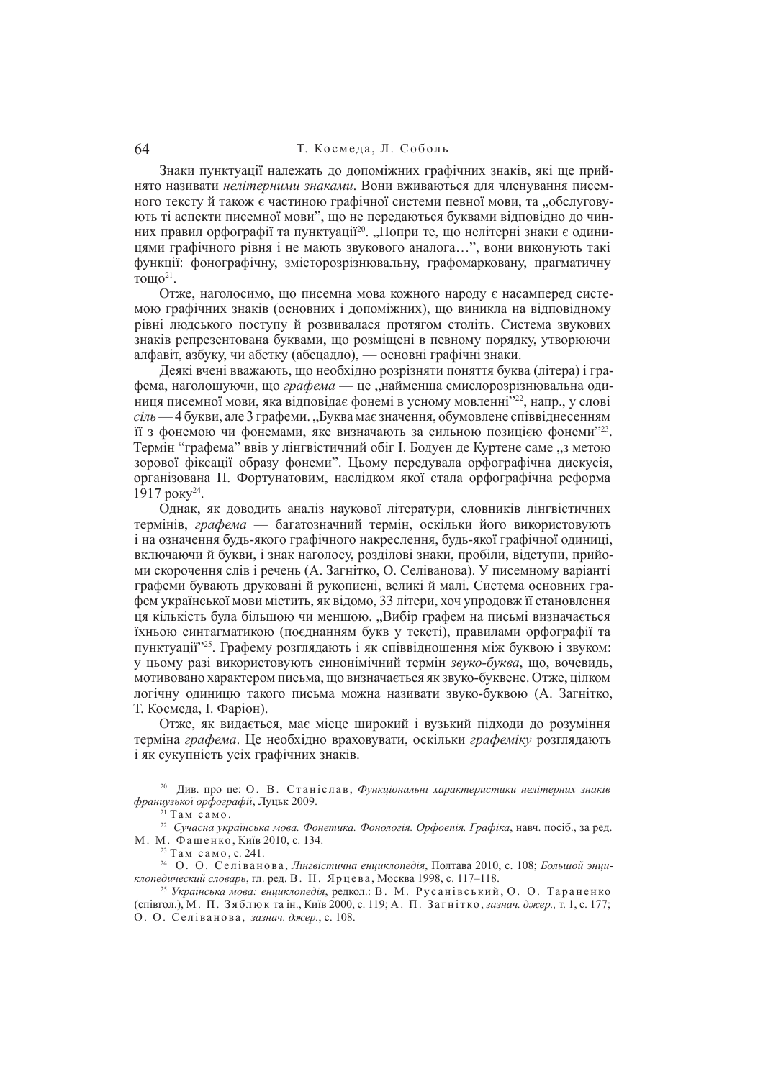Знаки пунктуації належать до допоміжних графічних знаків, які ще прийнято називати нелітерними знаками. Вони вживаються для членування писемного тексту й також є частиною графічної системи певної мови, та "обслуговують ті аспекти писемної мови", що не передаються буквами відповідно до чинних правил орфографії та пунктуації<sup>20</sup>. "Попри те, що нелітерні знаки є одиницями графічного рівня і не мають звукового аналога...", вони виконують такі функції: фонографічну, змісторозрізнювальну, графомарковану, прагматичну тощо<sup>21</sup>.

Отже, наголосимо, що писемна мова кожного народу є насамперед системою графічних знаків (основних і лопоміжних), що виникла на вілповілному рівні людського поступу й розвивалася протягом століть. Система звукових знаків репрезентована буквами, що розміщені в певному порядку, утворюючи алфавіт, азбуку, чи абетку (абецадло), — основні графічні знаки.

Деякі вчені вважають, що необхілно розрізняти поняття буква (літера) і графема, наголошуючи, що *графема* — це "найменша смислорозрізнювальна одиниця писемної мови, яка відповідає фонемі в усному мовленні<sup>722</sup>, напр., у слові *ciль* — 4 букви, але 3 графеми, "Буква має значення, обумовлене співвілнесенням т з фонемою чи фонемами, яке визначають за сильною позицією фонеми<sup>123</sup>. Термін "графема" ввів у лінгвістичний обіг І. Бодуен де Куртене саме "з метою зорової фіксації образу фонеми". Цьому передувала орфографічна дискусія, організована П. Фортунатовим, наслілком якої стала орфографічна реформа 1917 року<sup>24</sup>.

Однак, як доводить аналіз наукової літератури, словників лінгвістичних термінів, *графема* — багатозначний термін, оскільки його використовують і на означення будь-якого графічного накреслення, будь-якої графічної одиниці, включаючий букви, і знак наголосу, розділові знаки, пробіли, відступи, прийоми скорочення слів і речень (А. Загнітко, О. Селіванова). У писемному варіанті графеми бувають друковані й рукописні, великі й малі. Система основних графем української мови містить, як віломо, 33 літери, хоч упроловж її становлення ця кількість була більшою чи меншою. "Вибір графем на письмі визначається їхньою синтагматикою (поєднанням букв у тексті), правилами орфографії та пунктуації<sup>225</sup>. Графему розглядають і як співвідношення між буквою і звуком: у цьому разі використовують синонімічний термін звуко-буква, що, вочевидь, мотивовано характером письма, що визначається як звуко-буквене. Отже, цілком логічну одиницю такого письма можна називати звуко-буквою (А. Загнітко, Т. Космела. I. Фаріон).

Отже, як видається, має місце широкий і вузький підходи до розуміння терміна *графема*. Не необхілно враховувати, оскільки *графеміку* розглялають i як сукупність усіх графічних знаків.

<sup>&</sup>lt;sup>20</sup> Див. про це: О. В. Станіслав, *Функціональні характеристики нелітерних знаків*  $\alpha$ *французької орфографії*, Луцьк 2009.

 $\frac{21}{21}$  Tam camo.

<sup>&</sup>lt;sup>22</sup> Сучасна українська мова. Фонетика. Фонологія. Орфоепія. Графіка, навч. посіб., за ред. М. М. Фащенко, Київ 2010, с. 134.

 $23$  Там само, с. 241.

<sup>&</sup>lt;sup>24</sup> О. О. Селіванова, Лінгвістична енциклопедія, Полтава 2010, с. 108; *Большой энциклопедический словарь*, гл. ред. В. Н. Ярцева, Москва 1998, с. 117–118.

<sup>&</sup>lt;sup>25</sup> Українська мова: енциклопедія, редкол.: В. М. Русанівський, О. О. Тараненко (співгол.), М. П. Зяблюк та ін., Київ 2000, с. 119; А. П. Загнітко, зазнач. джер., т. 1, с. 177; О. О. Селіванова, зазнач. джер., с. 108.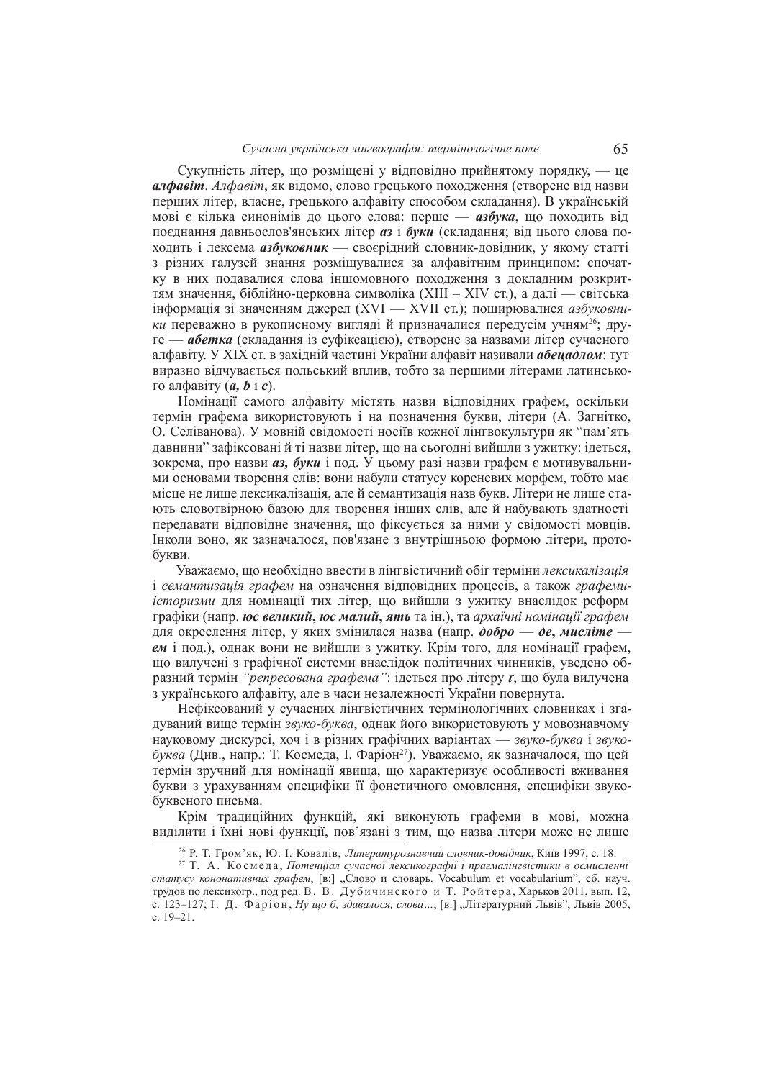#### *ɋɭɱɚɫɧɚ ɭɤɪɚʀɧɫɶɤɚ ɥɿɧɝɜɨɝɪɚɮɿɹ: ɬɟɪɦɿɧɨɥɨɝɿɱɧɟ ɩɨɥɟ* 65

Сукупність літер, що розміщені у відповідно прийнятому порядку, — це *алфавіт. Алфавіт*, як відомо, слово грецького походження (створене від назви перших літер, власне, грецького алфавіту способом складання). В українській мові є кілька синонімів до цього слова: перше — азбука, що походить від поєднання давньослов'янських літер *аз* і буки (складання; від цього слова походить і лексема *азбуковник* — своєрідний словник-довідник, у якому статті з різних галузей знання розміщувалися за алфавітним принципом: спочатку в них подавалися слова іншомовного походження з докладним розкриттям значення, біблійно-церковна символіка (XIII – XIV ст.), а далі — світська інформація зі значенням джерел (XVI — XVII ст.); поширювалися *азбуковники* переважно в рукописному вигляді й призначалися передусім учням<sup>26</sup>; друге — *абетка* (складання із суфіксацією), створене за назвами літер сучасного алфавіту. У XIX ст. в західній частині України алфавіт називали *абецадлом*: тут виразно відчувається польський вплив, тобто за першими літерами латинського алфавіту  $(a, b \, \mathrm{i} \, c)$ .

Номінації самого алфавіту містять назви вілповілних графем, оскільки термін графема використовують і на позначення букви, літери (А. Загнітко, О. Селіванова). У мовній свіломості носіїв кожної лінгвокультури як "пам'ять давнини" зафіксовані й ті назви літер, що на сьогодні вийшли з ужитку: ідеться, зокрема, про назви *аз*, буки і под. У цьому разі назви графем є мотивувальними основами творення слів: вони набули статусу кореневих морфем, тобто має місце не лише лексикалізація, але й семантизація назв букв. Літери не лише стають словотвірною базою для творення інших слів, але й набувають здатності передавати відповідне значення, що фіксується за ними у свідомості мовців. Iнколи воно, як зазначалося, пов'язане з внутрішньою формою літери, протобукви.

Уважаємо, що необхідно ввести в лінгвістичний обіг терміни лексикалізація <u>i</u> *семантизація графем* на означення відповідних процесів, а також *графемиicmopuзми* для номінації тих літер, що вийшли з ужитку внаслідок реформ графіки (напр. *юс великий, юс малий, ять* та ін.), та *архаїчні номінації графем* для окреслення літер, у яких змінилася назва (напр. добро — де, мисліте - $\epsilon$ *M* i под.), однак вони не вийшли з ужитку. Крім того, для номінації графем. що вилучені з графічної системи внаслідок політичних чинників, уведено образний термін "*репресована графема*": ідеться про літеру *ґ*, що була вилучена з українського алфавіту, але в часи незалежності України повернута.

Нефіксований у сучасних лінгвістичних термінологічних словниках і згадуваний вище термін звуко-буква, однак його використовують у мовознавчому НАУКОВОМУ ЛИСКУРСІ, ХОЧ І В РІЗНИХ ГРАФІЧНИХ ВАРІАНТАХ — *звуко-буква* і звукобуква (Див., напр.: Т. Космеда, І. Фаріон<sup>27</sup>). Уважаємо, як зазначалося, що цей термін зручний лля номінації явища, що характеризує особливості вживання букви з урахуванням специфіки її фонетичного омовлення, специфіки звукобуквеного письма.

Крім традиційних функцій, які виконують графеми в мові, можна виділити і їхні нові функції, пов'язані з тим, що назва літери може не лише

<sup>&</sup>lt;sup>26</sup> Р. Т. Гром'як, Ю. І. Ковалів, *Літературознавчий словник-довідник*, Київ 1997, с. 18.

<sup>&</sup>lt;sup>27</sup> Т. А. Космеда, Потенціал сучасної лексикографії і прагмалінгвістики в осмисленні статусу кононативних графем, [в:] "Слово и словарь. Vocabulum et vocabularium", сб. науч. трудов по лексикогр., под ред. В. В. Дубичинского и Т. Ройтера, Харьков 2011, вып. 12, с. 123–127; І. Д. Фаріон, *Ну що б, здавалося, слова*..., [в:] "Літературний Львів", Львів 2005, c. 19–21.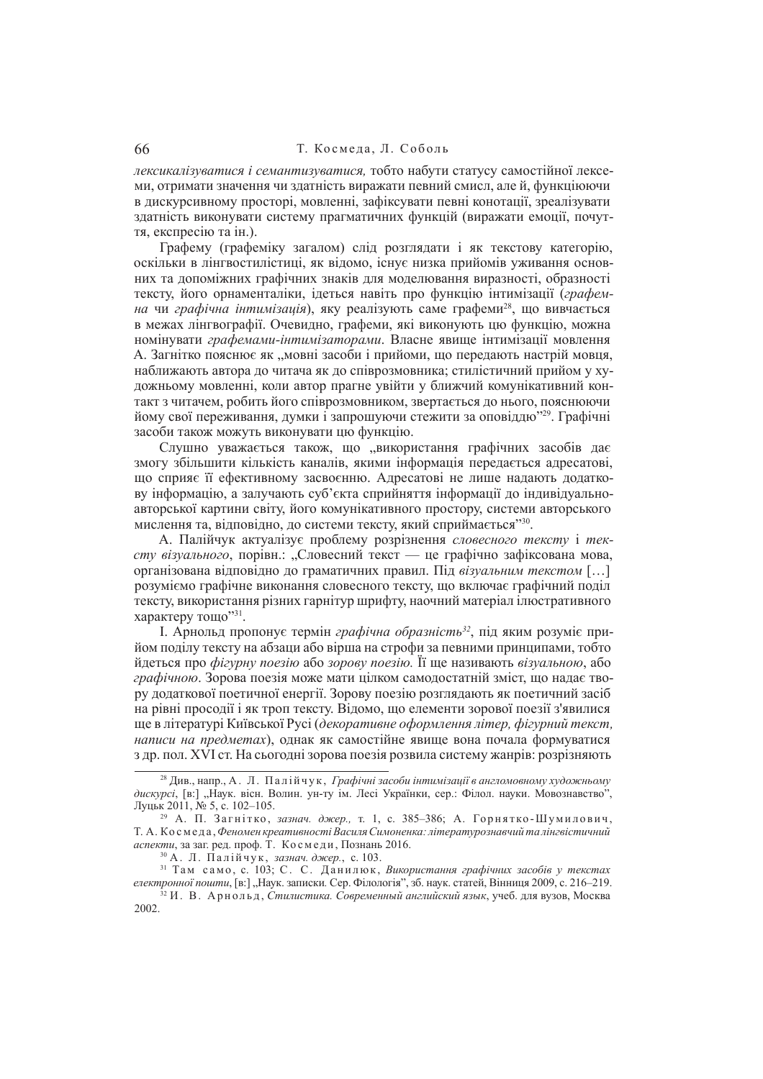## 66 Т. Космела, Л. Соболь

лексикалізуватися і семантизуватися, тобто набути статусу самостійної лексеми, отримати значення чи здатність виражати певний смисл, але й, функціюючи в дискурсивному просторі, мовленні, зафіксувати певні конотації, зреалізувати здатність виконувати систему прагматичних функцій (виражати емоції, почуття, експресію та ін.).

Графему (графеміку загалом) слід розглядати і як текстову категорію, оскільки в лінгвостилістиці, як віломо, існує низка прийомів уживання основних та лопоміжних графічних знаків для молелювання виразності, образності тексту, його орнаменталіки, ідеться навіть про функцію інтимізації (графемна чи графічна інтимізація), яку реалізують саме графеми<sup>28</sup>, що вивчається в межах лінгвографії. Очевилно, графеми, які виконують що функцію, можна номінувати графемами-інтимізаторами. Власне явище інтимізації мовлення А. Загнітко пояснює як "мовні засоби і прийоми, що передають настрій мовця, наближають автора ло читача як ло співрозмовника: стилістичний прийом у художньому мовленні, коли автор прагне увійти у ближчий комунікативний контакт з читачем, робить його співрозмовником, звертається до нього, пояснюючи йому свої переживання, думки і запрошуючи стежити за оповіддю<sup>729</sup>. Графічні засоби також можуть виконувати ню функцию.

Слушно уважається також, що "використання графічних засобів дає змогу збільшити кількість каналів, якими інформація передається адресатові, шо сприяє її ефективному засвоєнню. Алресатові не лише налають долаткову інформацію, а залучають суб'єкта сприйняття інформації до індивідуальноавторської картини світу, його комунікативного простору, системи авторського мислення та, відповідно, до системи тексту, який сприймається"<sup>30</sup>.

А. Палійчук актуалізує проблему розрізнення словесного тексту і тексту візуального, порівн.: "Словесний текст — це графічно зафіксована мова, організована відповідно до граматичних правил. Під візуальним текстом [...] розуміємо графічне виконання словесного тексту, що включає графічний поліл тексту, використання різних гарнітур шрифту, наочний матеріал ілюстративного характеру тощо"31.

I. Арнольд пропонує термін *графічна образність*<sup>32</sup>, під яким розуміє прийом полілу тексту на абзаци або вірша на строфи за певними принципами, тобто йдеться про фігурну поезію або зорову поезію. Її ще називають візуальною, або *графічною*. Зорова поезія може мати цілком самодостатній зміст, що надає твору додаткової поетичної енергії. Зорову поезію розглядають як поетичний засіб на рівні просолії і як троп тексту. Віломо, що елементи зорової поезії з'явилися ɳɟ ɜ ɥɿɬɟɪɚɬɭɪɿ Ʉɢʀɜɫɶɤɨʀ Ɋɭɫɿ (*ɞɟɤɨɪɚɬɢɜɧɟ ɨɮɨɪɦɥɟɧɧɹ ɥɿɬɟɪ, ɮɿɝɭɪɧɢɣ ɬɟɤɫɬ, написи на предметах*), однак як самостійне явише вона почала формуватися з др. пол. XVI ст. На сьогодні зорова поезія розвила систему жанрів: розрізняють

30 А. Л. Палійчук, зазнач. джер., с. 103.

<sup>&</sup>lt;sup>28</sup> Див., напр., А. Л. Палійчук, *Графічні засоби інтимізації в англомовному художньому* дискурсі, [в:] "Наук. вісн. Волин. ун-ту ім. Лесі Українки, сер.: Філол. науки. Мовознавство", Луцьк 2011, № 5, с. 102–105.

<sup>&</sup>lt;sup>29</sup> А. П. Загнітко, зазнач. джер., т. 1, с. 385–386; А. Горнятко-Шумилович, Т. А. Космеда, Феномен креативності Василя Симоненка: літературознавчий та лінгвістичний *аспекти*, за заг. ред. проф. Т. Космеди, Познань 2016.

<sup>&</sup>lt;sup>31</sup> Там само, с. 103; С. С. Данилюк, Використання графічних засобів у текстах електронної пошти, [в:] "Наук. записки. Сер. Філологія", зб. наук. статей, Вінниця 2009, с. 216–219.

<sup>&</sup>lt;sup>32</sup> И. В. Арнольд. Стилистика. Современный английский язык, учеб. для вузов. Москва 2002.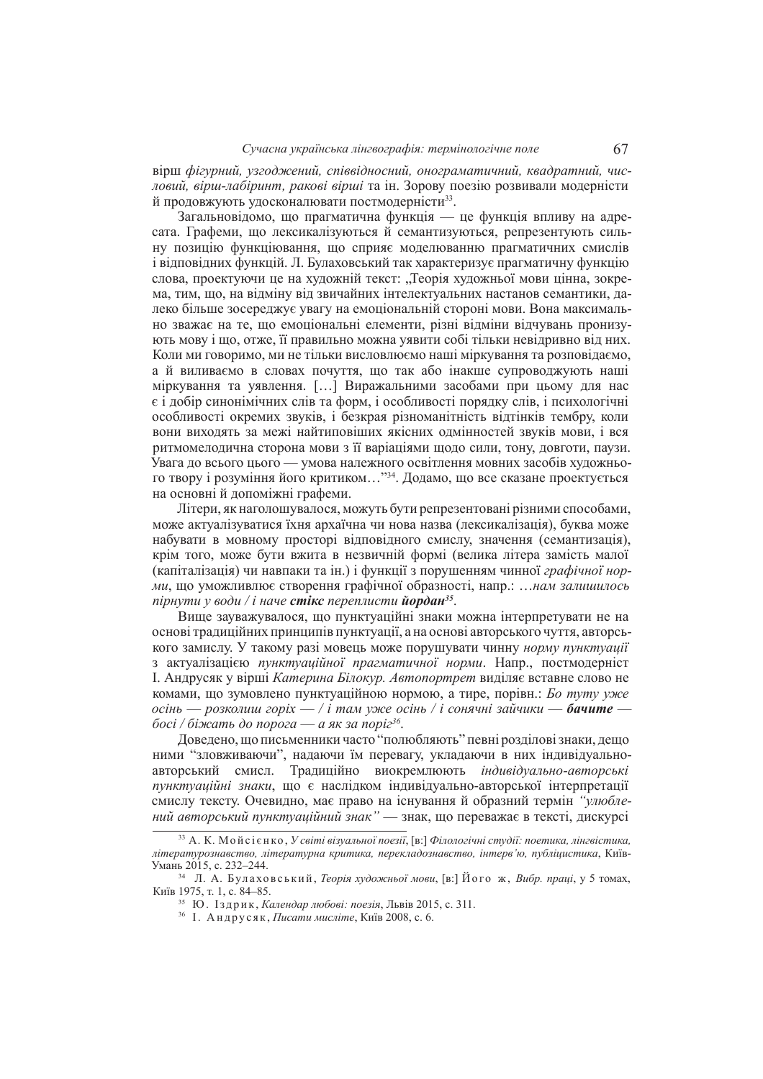ɜɿɪɲ *ɮɿɝɭɪɧɢɣ, ɭɡɝɨɞɠɟɧɢɣ, ɫɩɿɜɜɿɞɧɨɫɧɢɣ, ɨɧɨɝɪɚɦɚɬɢɱɧɢɣ, ɤɜɚɞɪɚɬɧɢɣ, ɱɢɫ*довий, вірш-лабіринт, ракові вірші та ін. Зорову поезію розвивали модерністи й продовжують удосконалювати постмодерністи<sup>33</sup>.

Загальновідомо, що прагматична функція — це функція впливу на адресата. Графеми, що лексикалізуються й семантизуються, репрезентують сильну позицію функціювання, що сприяє моделюванню прагматичних смислів i відповідних функцій. Л. Булаховський так характеризує прагматичну функцію слова, проектуючи це на художній текст: "Теорія художньої мови цінна, зокрема, тим, що, на відміну від звичайних інтелектуальних настанов семантики, далеко більше зосерелжує увагу на емоціональній стороні мови. Вона максимально зважає на те, що емоціональні елементи, різні відміни відчувань пронизують мову і що, отже, її правильно можна уявити собі тільки невідривно від них. Коли ми говоримо, ми не тільки висловлюємо наші міркування та розповідаємо, а й виливаємо в словах почуття, що так або інакше супроводжують наші міркування та уявлення. [...] Виражальними засобами при цьому для нас  $\epsilon$  і лобір синонімічних слів та форм, і особливості порядку слів, і психологічні особливості окремих звуків, і безкрая різноманітність вілтінків тембру, коли вони вихолять за межі найтиповіших якісних олмінностей звуків мови, і вся ритмомелодична сторона мови з її варіаціями щодо сили, тону, довготи, паузи. Увага до всього цього — умова належного освітлення мовних засобів художнього твору і розуміння його критиком..."<sup>34</sup>. Додамо, що все сказане проектується на основні й допоміжні графеми.

Літери, як наголошувалося, можуть бути репрезентовані різними способами, може актуалізуватися їхня архаїчна чи нова назва (лексикалізація), буква може набувати в мовному просторі відповідного смислу, значення (семантизація), крім того, може бути вжита в незвичній формі (велика літера замість малої (капіталізація) чи навпаки та ін.) і функції з порушенням чинної *графічної норми*, шо уможливлює створення графічної образності, напр.: …нам залишилось  $n$ ірнути у води / і наче **стікс** переплисти **йордан** $^{35}$ .

Вище зауважувалося, що пунктуаційні знаки можна інтерпретувати не на основі традиційних принципів пунктуації, а на основі авторського чуття, авторського замислу. У такому разі мовець може порушувати чинну норму пунктуації з актуалізацією пунктуаційної прагматичної норми. Напр., постмодерніст I. Андрусяк у вірші Катерина Білокур. Автопортрет виділяє вставне слово не комами, що зумовлено пунктуаційною нормою, а тире, порівн.: *Бо туту уже*  $\alpha$ *сінь* — *розколиш горіх* — / *і там уже осінь* / *і сонячні зайчики* — **бачите** *босі / біжать до порога — а як за поріг* $^{36}$ *.* 

Довелено, шо письменники часто "полюбляють" певні розлілові знаки, лешо ними "зловживаючи", надаючи їм перевагу, укладаючи в них індивідуальноавторський смисл. Традиційно виокремлюють *індивідуально-авторські* пунктуаційні знаки, що є наслідком індивідуально-авторської інтерпретації смислу тексту. Очевидно, має право на існування й образний термін "*улюблений авторський пунктуаційний знак*<sup>"</sup> — знак, що переважає в тексті, дискурсі

<sup>&</sup>lt;sup>33</sup> А. К. Мойсієнко. У світі візуальної поезії. [в:] Філологічні студії: поетика, лінгвістика, *літературознавство, літературна критика, перекладознавство, інтерв'ю, публіцистика, Київ-*Умань 2015, с. 232-244.

<sup>&</sup>lt;sup>34</sup> Л. А. Булаховський, *Теорія художньої мови*, [в:] Його ж, *Вибр. праці*, у 5 томах, Київ 1975, т. 1, с. 84–85.

<sup>&</sup>lt;sup>35</sup> Ю. Іздрик, *Календар любові: поезія*, Львів 2015, с. 311.

<sup>&</sup>lt;sup>36</sup> І. Андрусяк, *Писати мисліте*, Київ 2008, с. 6.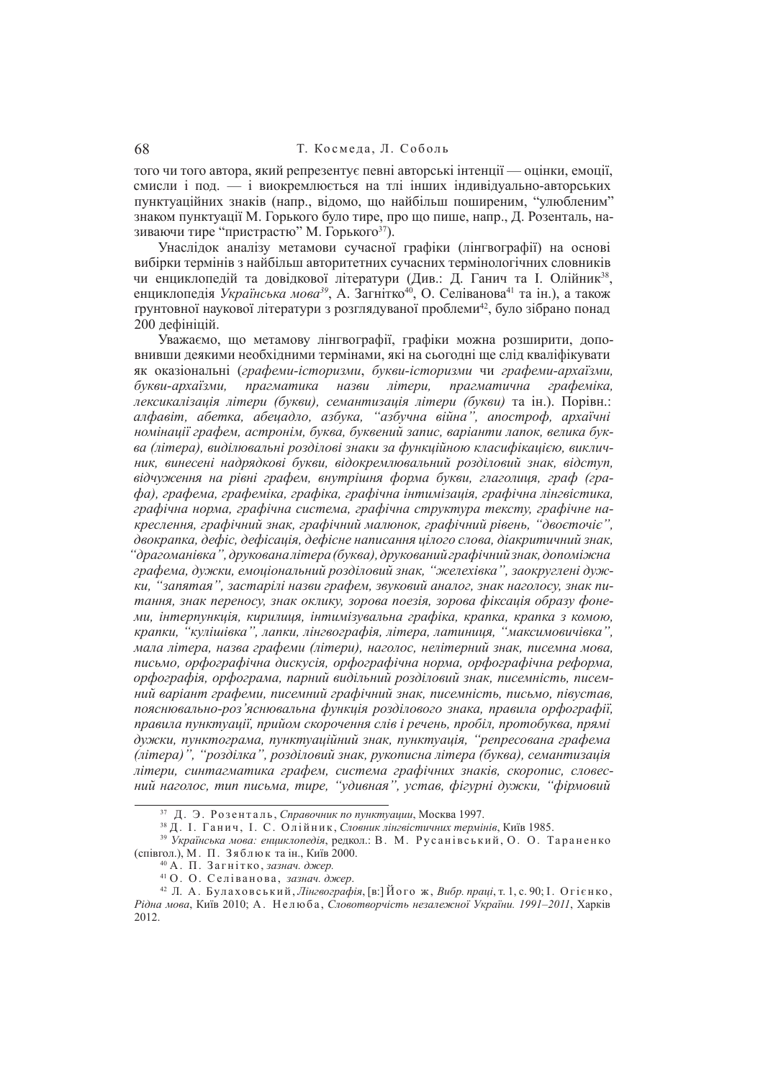того чи того автора, який репрезентує певні авторські інтенції — оцінки, емоції, смисли і под. — і виокремлюється на тлі інших індивідуально-авторських пунктуаційних знаків (напр., відомо, що найбільш поширеним, "улюбленим" знаком пунктуації М. Горького було тире, про що пише, напр., Д. Розенталь, називаючи тире "пристрастю" М. Горького<sup>37</sup>).

Унаслідок аналізу метамови сучасної графіки (лінгвографії) на основі вибірки термінів з найбільш авторитетних сучасних термінологічних словників чи енциклопедій та довідкової літератури (Див.: Д. Ганич та І. Олійник<sup>38</sup>, енциклопедія *Українська мова<sup>з9</sup>*, А. Загнітко<sup>40</sup>, О. Селіванова<sup>41</sup> та ін.), а також грунтовної наукової літератури з розглядуваної проблеми<sup>42</sup>, було зібрано понад 200 лефініцій.

Уважаємо, що метамову лінгвографії, графіки можна розширити, доповнивши деякими необхідними термінами, які на сьогодні ще слід кваліфікувати як оказіональні (графеми-історизми, букви-історизми чи графеми-архаїзми,  $\tilde{\theta}$ укви-архаїзми, прагматика назви літери, прагматична графеміка,  $i$ дексикалізація літери (букви), семантизація літери (букви) та ін.). Порівн.:  $a\pi\phi$ авіт, абетка, абецадло, азбука, "азбучна війна", апостроф, архаїчні  $H$ омінації графем, астронім, буква, буквений запис, варіанти лапок, велика бук*ɜɚ (ɥɿɬɟɪɚ), ɜɢɞɿɥɸɜɚɥɶɧɿ ɪɨɡɞɿɥɨɜɿ ɡɧɚɤɢ ɡɚ ɮɭɧɤɰɿɣɧɨɸ ɤɥɚɫɢɮɿɤɚɰɿɽɸ, ɜɢɤɥɢɱɧɢɤ, ɜɢɧɟɫɟɧɿ ɧɚɞɪɹɞɤɨɜɿ ɛɭɤɜɢ, ɜɿɞɨɤɪɟɦɥɸɜɚɥɶɧɢɣ ɪɨɡɞɿɥɨɜɢɣ ɡɧɚɤ, ɜɿɞɫɬɭɩ, ɜɿɞɱɭɠɟɧɧɹ ɧɚ ɪɿɜɧɿ ɝɪɚɮɟɦ, ɜɧɭɬɪɿɲɧɹ ɮɨɪɦɚ ɛɭɤɜɢ, ɝɥɚɝɨɥɢɰɹ, ɝɪɚɮ (ɝɪɚɮɚ), ɝɪɚɮɟɦɚ, ɝɪɚɮɟɦɿɤɚ, ɝɪɚɮɿɤɚ, ɝɪɚɮɿɱɧɚ ɿɧɬɢɦɿɡɚɰɿɹ, ɝɪɚɮɿɱɧɚ ɥɿɧɝɜɿɫɬɢɤɚ,*   $\epsilon$ рафічна норма, графічна система, графічна структура тексту, графічне на*ɤɪɟɫɥɟɧɧɹ, ɝɪɚɮɿɱɧɢɣ ɡɧɚɤ, ɝɪɚɮɿɱɧɢɣ ɦɚɥɸɧɨɤ, ɝɪɚɮɿɱɧɢɣ ɪɿɜɟɧɶ, "ɞɜɨɽɬɨɱɿɽ",*  двокрапка, дефіс, дефісація, дефісне написання иілого слова, діакритичний знак. "драгоманівка", друкованалітера (буква), друкований графічний знак, допоміжна  $\hat{z}$ рафема, дужки, емоціональний розділовий знак, "желехівка", заокруглені дуж*ки, "запятая", застарілі назви графем, звуковий аналог, знак наголосу, знак пи*тання, знак переносу, знак оклику, зорова поезія, зорова фіксація образу фоне- $M$ и, *інтерпункція, кирилиця, інтимізувальна графіка, крапка, крапка з комою, ɤɪɚɩɤɢ, "ɤɭɥɿɲɿɜɤɚ", ɥɚɩɤɢ, ɥɿɧɝɜɨɝɪɚɮɿɹ, ɥɿɬɟɪɚ, ɥɚɬɢɧɢɰɹ, "ɦɚɤɫɢɦɨɜɢɱɿɜɤɚ",*   $M$ ала літера, назва графеми (літери), наголос, нелітерний знак, писемна мова, письмо, орфографічна дискусія, орфографічна норма, орфографічна реформа,  $\sigma$ рфографія, орфограма, парний видільний розділовий знак, писемність, писем*ɧɢɣ ɜɚɪɿɚɧɬ ɝɪɚɮɟɦɢ, ɩɢɫɟɦɧɢɣ ɝɪɚɮɿɱɧɢɣ ɡɧɚɤ, ɩɢɫɟɦɧɿɫɬɶ, ɩɢɫɶɦɨ, ɩɿɜɭɫɬɚɜ,*  пояснювально-роз'яснювальна функиія розділового знака, правила орфографії, правила пунктуації, прийом скорочення слів і речень, пробіл, протобуква, прямі  $\delta$ Vжки, пунктограма, пунктуаційний знак, пунктуація, "репресована графема *(ɥɿɬɟɪɚ)", "ɪɨɡɞɿɥɤɚ", ɪɨɡɞɿɥɨɜɢɣ ɡɧɚɤ, ɪɭɤɨɩɢɫɧɚ ɥɿɬɟɪɚ (ɛɭɤɜɚ), ɫɟɦɚɧɬɢɡɚɰɿɹ*  $\bar{A}$  $\bar{B}$ ,  $\bar{C}$   $\bar{C}$  $\bar{A}$  $\bar{C}$  $\bar{A}$  $\bar{C}$  $\bar{A}$  $\bar{C}$  $\bar{B}$  $\bar{C}$  $\bar{A}$  $\bar{C}$ ,  $\bar{C}$  $\bar{A}$  $\bar{C}$  $\bar{C}$  $\bar{A}$  $\bar{C}$  $\bar{C}$  $\bar{A}$  $\bar{C}$  $\bar{C}$  $\bar{A}$  $\bar{C}$  $\bar{C}$  $\bar{C}$  $\bar{A}$  $\bar{C}$  $\bar{C}$  $H\ddot{u}$  *Hаголос, тип письма, тире, "удивная", устав, фігурні дужки, "фірмовий* 

<sup>&</sup>lt;sup>37</sup> Д. Э. Розенталь, *Справочник по пунктуации*, Москва 1997.

<sup>&</sup>lt;sup>38</sup> Д. І. Ганич, І. С. Олійник, Словник лінгвістичних термінів, Київ 1985.

<sup>&</sup>lt;sup>39</sup> Українська мова: енциклопедія, редкол.: В. М. Русанівський, О. О. Тараненко (співгол.), М. П. Зяблюк та ін., Київ 2000.

<sup>&</sup>lt;sup>40</sup> А. П. Загнітко, зазнач. джер.

<sup>&</sup>lt;sup>41</sup> О. О. Селіванова, зазнач. джер.

<sup>&</sup>lt;sup>42</sup> Л. А. Булаховський*, Лінгвографія*, [в:] Його ж, *Вибр. праці,* т. 1, с. 90; І. Огієнко,  $P$ ідна мова, Київ 2010; А. Нелюба, Словотворчість незалежної України. 1991–2011, Харків 2012.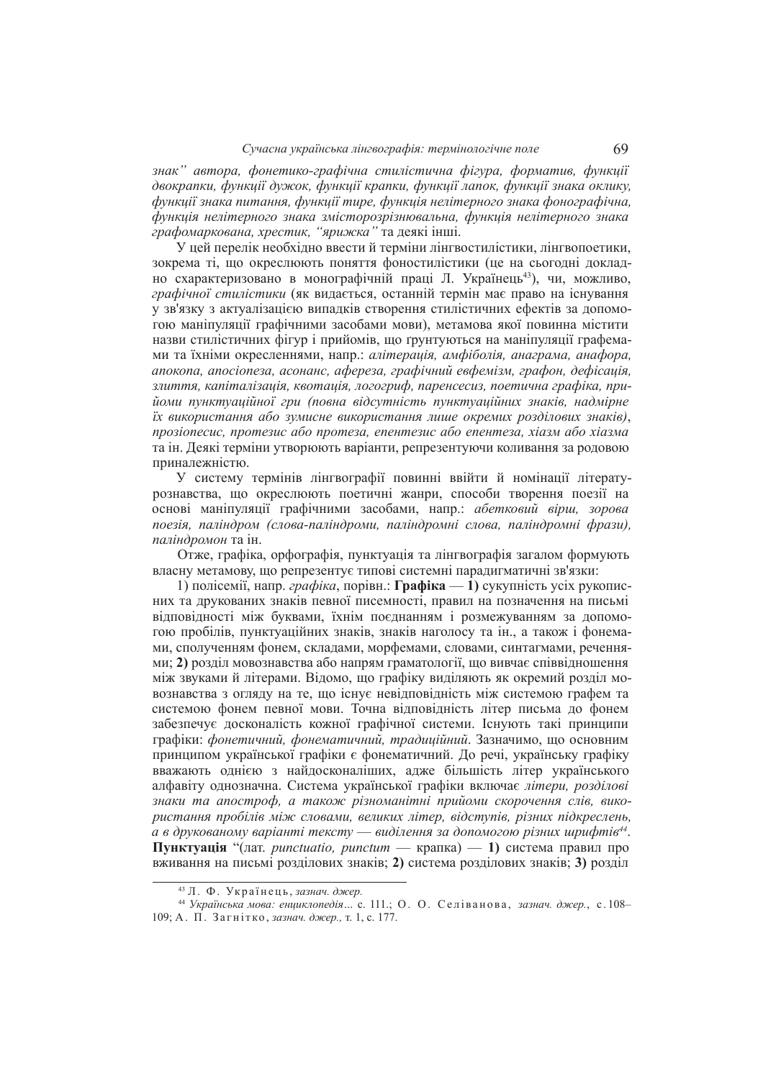знак" автора, фонетико-графічна стилістична фігура, форматив, функції двокрапки, функції дужок, функції крапки, функції лапок, функції знака оклику, *ɮɭɧɤɰɿʀ ɡɧɚɤɚ ɩɢɬɚɧɧɹ, ɮɭɧɤɰɿʀ ɬɢɪɟ, ɮɭɧɤɰɿɹ ɧɟɥɿɬɟɪɧɨɝɨ ɡɧɚɤɚ ɮɨɧɨɝɪɚɮɿɱɧɚ,*   $\dot{\phi}$ ункиія нелітерного знака змісторозрізнювальна, функція нелітерного знака  $\epsilon$ рафомаркована, хрестик, "ярижка" та деякі інші.

У цей перелік необхідно ввести й терміни лінгвостилістики, лінгвопоетики, зокрема ті, що окреслюють поняття фоностилістики (це на сьогодні докладно схарактеризовано в монографічній праці Л. Українець<sup>43</sup>), чи, можливо, *графічної стилістики* (як видається, останній термін має право на існування у зв'язку з актуалізацією випалків створення стилістичних ефектів за лопомогою маніпуляції графічними засобами мови), метамова якої повинна містити назви стилістичних фігур і прийомів, що ґрунтуються на маніпуляції графемами та їхніми окресленнями, напр.: *алітерація, амфіболія, анаграма, анафора*, *ɚɩɨɤɨɩɚ, ɚɩɨɫɿɨɩɟɡɚ, ɚɫɨɧɚɧɫ, ɚɮɟɪɟɡɚ, ɝɪɚɮɿɱɧɢɣ ɟɜɮɟɦɿɡɦ, ɝɪɚɮɨɧ, ɞɟɮɿɫɚɰɿɹ,*   $3$ лиття, капіталізація, квотація, логогриф, паренсесиз, поетична графіка, прийоми пунктуаиійної гри (повна відсутність пунктуаційних знаків, надмірне  $i$ х використання або зумисне використання лише окремих розділових знаків), *npoзionecuc, протезис або протеза, епентезис або епентеза, хіазм або хіазма* та ін. Деякі терміни утворюють варіанти, репрезентуючи коливання за родовою приналежністю.

У систему термінів лінгвографії повинні ввійти й номінації літературознавства, що окреслюють поетичні жанри, способи творення поезії на основі маніпуляції графічними засобами, напр.: абетковий вірш, зорова  $noesia, na\ni\phi$ *ром (слова-паліндроми, паліндромні слова, паліндромні фрази), паліндромон* та ін.

<u>Отже</u>, графіка, орфографія, пунктуація та лінгвографія загалом формують власну метамову, що репрезентує типові системні парадигматичні зв'язки:

1) полісемії, напр. *графіка*, порівн.: **Графіка** — 1) сукупність усіх рукописних та лрукованих знаків певної писемності, правил на позначення на письмі відповідності між буквами, їхнім поєднанням і розмежуванням за допомогою пробілів, пунктуаційних знаків, знаків наголосу та ін., а також і фонемами, сполученням фонем, склалами, морфемами, словами, синтагмами, реченнями; 2) розліл мовознавства або напрям граматології, що вивчає співвілношення між звуками й літерами. Відомо, що графіку виділяють як окремий розділ мовознавства з огляду на те, що існує невідповідність між системою графем та системою фонем певної мови. Точна вілповілність літер письма до фонем забезпечує досконалість кожної графічної системи. Існують такі принципи графіки: фонетичний, фонематичний, традиційний. Зазначимо, що основним принципом української графіки є фонематичний. Ло речі, українську графіку вважають однією з найдосконаліших, адже більшість літер українського алфавіту однозначна. Система української графіки включає літери, розділові  $3$ наки та апостроф, а також різноманітні прийоми скорочення слів, вико $pucmanня пробілів між словами, великих літер, відстиї, різних підкреслень,$ а в друкованому варіанті тексту — виділення за допомогою різних шрифтів<sup>44</sup>. **Пунктуація** "(лат. *punctuatio, punctum* — крапка) — 1) система правил про вживання на письмі розділових знаків; 2) система розділових знаків; 3) розділ

<sup>&</sup>lt;sup>43</sup> Л. Ф. Українець, зазнач. джер.

<sup>&</sup>lt;sup>44</sup> Українська мова: енциклопедія... с. 111.; О. О. Селіванова, зазнач. джер., с. 108– 109; А. П. Загнітко, зазнач. джер., т. 1, с. 177.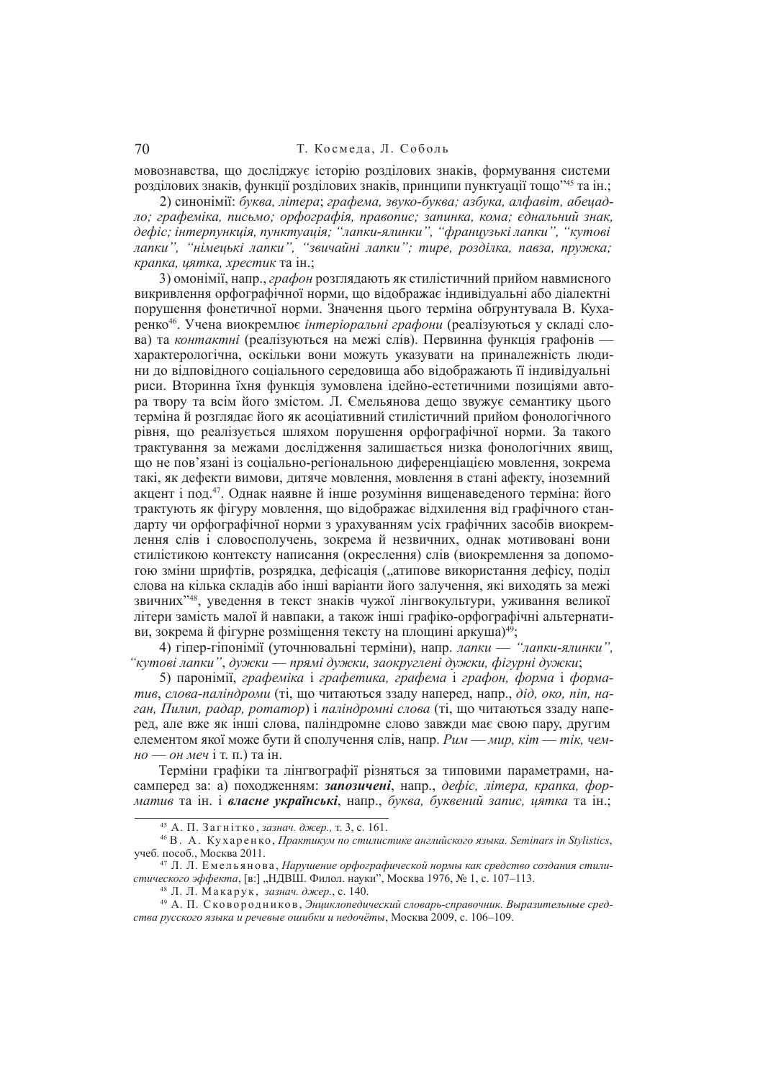# 70 Т. Космела, Л. Соболь

мовознавства, що досліджує історію розділових знаків, формування системи розділових знаків, функції розділових знаків, принципи пунктуації тощо"<sup>45</sup> та ін.;

2) синонімії: буква, літера; графема, звуко-буква; азбука, алфавіт, абецад*ло; графеміка, письмо; орфографія, правопис; запинка, кома; єднальний знак,*  $\partial$ ефіс; інтерпункція, пунктуація; "лапки-ялинки", "французькі лапки", "кутові  $\overline{A}$ апки", "німецькі лапки", "звичайні лапки"; тире, розділка, павза, пружка;  $$ 

3) омонімії, напр., графон розглядають як стилістичний прийом навмисного викривлення орфографічної норми, що відображає індивідуальні або діалектні порушення фонетичної норми. Значення цього терміна обтрунтувала В. Кухаренко<sup>46</sup>. Учена виокремлює інтеріоральні графони (реалізуються у складі слова) та *контактні* (реалізуються на межі слів). Первинна функція графонів характерологічна, оскільки вони можуть указувати на приналежність людини ло вілповілного соціального сереловища або вілображають її індивілуальні риси. Вторинна їхня функція зумовлена ідейно-естетичними позиціями автора твору та всім його змістом. Л. Ємельянова лешо звужує семантику цього терміна й розглялає його як асоціативний стилістичний прийом фонологічного рівня, що реалізується шляхом порушення орфографічної норми. За такого трактування за межами дослідження залишається низка фонологічних явищ, по не пов'язані із соціально-регіональною диференціацією мовлення, зокрема такі, як лефекти вимови, литяче мовлення, мовлення в стані афекту, іноземний акцент і под.<sup>47</sup>. Однак наявне й інше розуміння вищенаведеного терміна: його трактують як фігуру мовлення, що відображає відхилення від графічного стандарту чи орфографічної норми з урахуванням усіх графічних засобів виокремлення слів і словосполучень, зокрема й незвичних, однак мотивовані вони стилістикою контексту написання (окреслення) слів (виокремлення за лопомогою зміни шрифтів, розрядка, дефісація ("атипове використання дефісу, поділ слова на кілька склалів або інші варіанти його залучення, які вихолять за межі звичних"<sup>48</sup>, уведення в текст знаків чужої лінгвокультури, уживання великої літери замість малої й навпаки, а також інші графіко-орфографічні альтернативи, зокрема й фігурне розміщення тексту на площині аркуша)<sup>49</sup>;

 $\overline{4}$ ) гіпер-гіпонімії (уточнювальні терміни), напр. *лапки* — *"лапки-ялинки"*. <sup>"</sup>кутові лапки", дужки — прямі дужки, заокруглені дужки, фігурні дужки;

5) паронімії, *графеміка* і *графетика, графема* і *графон, форма* і форма*тив*, *слова-паліндроми* (ті, що читаються ззаду наперед, напр., дід, око, піп, на*ган, Пилип, радар, ротатор*) і *паліндромні слова* (ті, що читаються ззаду наперед, але вже як інші слова, паліндромне слово завжди має свою пару, другим елементом якої може бути й сполучення слів. напр. Рим — мир. кіт — тік. чем $ho \rightarrow \text{OH}$  *меч* і т. п.) та ін.

Терміни графіки та лінгвографії різняться за типовими параметрами, насамперед за: а) походженням: запозичені, напр., дефіс, літера, крапка, фор*матив* та ін. і власне українські, напр., буква, буквений запис, цятка та ін.;

<sup>&</sup>lt;sup>45</sup> А. П. Загнітко, зазнач. джер., т. 3, с. 161.

<sup>&</sup>lt;sup>46</sup> В. А. Кухаренко, *Практикум по стилистике английского языка. Seminars in Stylistics*, vчеб. пособ., Москва 2011.

<sup>&</sup>lt;sup>47</sup> Л. Л. Емельянова, *Нарушение орфографической нормы как средство создания стили-* $\ell$ *етического эффекта*, [в:] "НДВШ. Филол. науки", Москва 1976, № 1, с. 107–113.

<sup>&</sup>lt;sup>48</sup> Л. Л. Макарук, зазнач. джер., с. 140.

<sup>&</sup>lt;sup>49</sup> А. П. Сковородников, Энциклопедический словарь-справочник. Выразительные сред*ɫɬɜɚ ɪɭɫɫɤɨɝɨ ɹɡɵɤɚ ɢ ɪɟɱɟɜɵɟ ɨɲɢɛɤɢ ɢ ɧɟɞɨɱɺɬɵ*, Ɇɨɫɤɜɚ 2009, ɫ. 106–109.